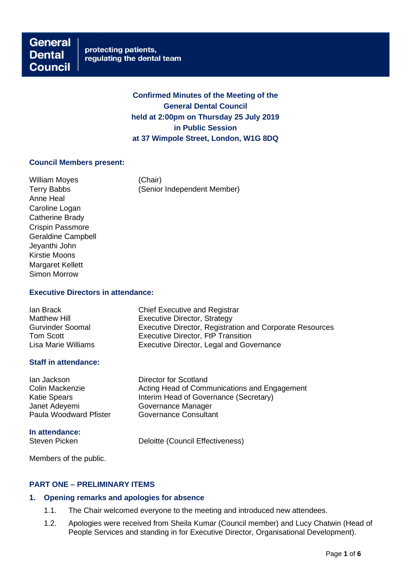**Confirmed Minutes of the Meeting of the General Dental Council held at 2:00pm on Thursday 25 July 2019 in Public Session at 37 Wimpole Street, London, W1G 8DQ**

### **Council Members present:**

William Moyes (Chair) Anne Heal Caroline Logan Catherine Brady Crispin Passmore Geraldine Campbell Jeyanthi John Kirstie Moons Margaret Kellett Simon Morrow

Terry Babbs (Senior Independent Member)

### **Executive Directors in attendance:**

| lan Brack               | <b>Chief Executive and Registrar</b>                            |
|-------------------------|-----------------------------------------------------------------|
| <b>Matthew Hill</b>     | Executive Director, Strategy                                    |
| <b>Gurvinder Soomal</b> | <b>Executive Director, Registration and Corporate Resources</b> |
| Tom Scott               | <b>Executive Director, FtP Transition</b>                       |
| Lisa Marie Williams     | Executive Director, Legal and Governance                        |

### **Staff in attendance:**

Ian Jackson Director for Scotland Colin Mackenzie **Acting Head of Communications and Engagement**<br>Katie Spears **Action** Head of Governance (Secretary) Interim Head of Governance (Secretary) Janet Adeyemi Governance Manager<br>
Paula Woodward Pfister Governance Consultant Paula Woodward Pfister **In attendance:** Steven Picken **Deloitte** (Council Effectiveness)

Members of the public.

## **PART ONE – PRELIMINARY ITEMS**

## **1. Opening remarks and apologies for absence**

- 1.1. The Chair welcomed everyone to the meeting and introduced new attendees.
- 1.2. Apologies were received from Sheila Kumar (Council member) and Lucy Chatwin (Head of People Services and standing in for Executive Director, Organisational Development).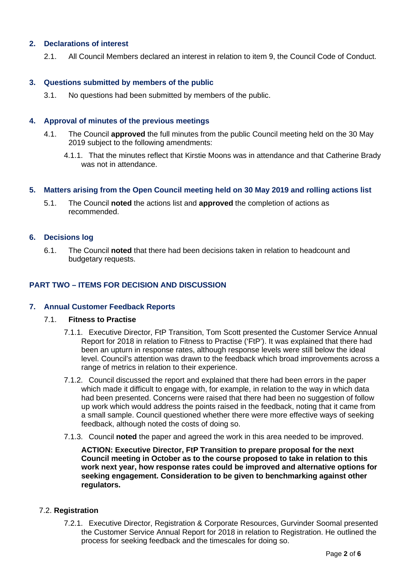# **2. Declarations of interest**

2.1. All Council Members declared an interest in relation to item 9, the Council Code of Conduct.

#### **3. Questions submitted by members of the public**

3.1. No questions had been submitted by members of the public.

### **4. Approval of minutes of the previous meetings**

- 4.1. The Council **approved** the full minutes from the public Council meeting held on the 30 May 2019 subject to the following amendments:
	- 4.1.1. That the minutes reflect that Kirstie Moons was in attendance and that Catherine Brady was not in attendance.

### **5. Matters arising from the Open Council meeting held on 30 May 2019 and rolling actions list**

5.1. The Council **noted** the actions list and **approved** the completion of actions as recommended.

#### **6. Decisions log**

6.1. The Council **noted** that there had been decisions taken in relation to headcount and budgetary requests.

## **PART TWO – ITEMS FOR DECISION AND DISCUSSION**

#### **7. Annual Customer Feedback Reports**

#### 7.1. **Fitness to Practise**

- 7.1.1. Executive Director, FtP Transition, Tom Scott presented the Customer Service Annual Report for 2018 in relation to Fitness to Practise ('FtP'). It was explained that there had been an upturn in response rates, although response levels were still below the ideal level. Council's attention was drawn to the feedback which broad improvements across a range of metrics in relation to their experience.
- 7.1.2. Council discussed the report and explained that there had been errors in the paper which made it difficult to engage with, for example, in relation to the way in which data had been presented. Concerns were raised that there had been no suggestion of follow up work which would address the points raised in the feedback, noting that it came from a small sample. Council questioned whether there were more effective ways of seeking feedback, although noted the costs of doing so.
- 7.1.3. Council **noted** the paper and agreed the work in this area needed to be improved.

**ACTION: Executive Director, FtP Transition to prepare proposal for the next Council meeting in October as to the course proposed to take in relation to this work next year, how response rates could be improved and alternative options for seeking engagement. Consideration to be given to benchmarking against other regulators.**

### 7.2. **Registration**

7.2.1. Executive Director, Registration & Corporate Resources, Gurvinder Soomal presented the Customer Service Annual Report for 2018 in relation to Registration. He outlined the process for seeking feedback and the timescales for doing so.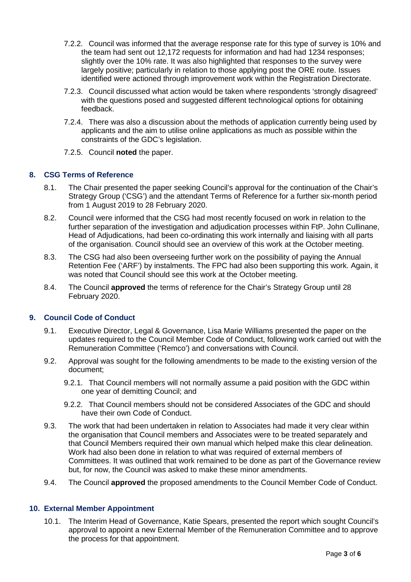- 7.2.2. Council was informed that the average response rate for this type of survey is 10% and the team had sent out 12,172 requests for information and had had 1234 responses; slightly over the 10% rate. It was also highlighted that responses to the survey were largely positive; particularly in relation to those applying post the ORE route. Issues identified were actioned through improvement work within the Registration Directorate.
- 7.2.3. Council discussed what action would be taken where respondents 'strongly disagreed' with the questions posed and suggested different technological options for obtaining feedback.
- 7.2.4. There was also a discussion about the methods of application currently being used by applicants and the aim to utilise online applications as much as possible within the constraints of the GDC's legislation.
- 7.2.5. Council **noted** the paper.

## **8. CSG Terms of Reference**

- 8.1. The Chair presented the paper seeking Council's approval for the continuation of the Chair's Strategy Group ('CSG') and the attendant Terms of Reference for a further six-month period from 1 August 2019 to 28 February 2020.
- 8.2. Council were informed that the CSG had most recently focused on work in relation to the further separation of the investigation and adjudication processes within FtP. John Cullinane, Head of Adjudications, had been co-ordinating this work internally and liaising with all parts of the organisation. Council should see an overview of this work at the October meeting.
- 8.3. The CSG had also been overseeing further work on the possibility of paying the Annual Retention Fee ('ARF') by instalments. The FPC had also been supporting this work. Again, it was noted that Council should see this work at the October meeting.
- 8.4. The Council **approved** the terms of reference for the Chair's Strategy Group until 28 February 2020.

## **9. Council Code of Conduct**

- 9.1. Executive Director, Legal & Governance, Lisa Marie Williams presented the paper on the updates required to the Council Member Code of Conduct, following work carried out with the Remuneration Committee ('Remco') and conversations with Council.
- 9.2. Approval was sought for the following amendments to be made to the existing version of the document;
	- 9.2.1. That Council members will not normally assume a paid position with the GDC within one year of demitting Council; and
	- 9.2.2. That Council members should not be considered Associates of the GDC and should have their own Code of Conduct.
- 9.3. The work that had been undertaken in relation to Associates had made it very clear within the organisation that Council members and Associates were to be treated separately and that Council Members required their own manual which helped make this clear delineation. Work had also been done in relation to what was required of external members of Committees. It was outlined that work remained to be done as part of the Governance review but, for now, the Council was asked to make these minor amendments.
- 9.4. The Council **approved** the proposed amendments to the Council Member Code of Conduct.

#### **10. External Member Appointment**

10.1. The Interim Head of Governance, Katie Spears, presented the report which sought Council's approval to appoint a new External Member of the Remuneration Committee and to approve the process for that appointment.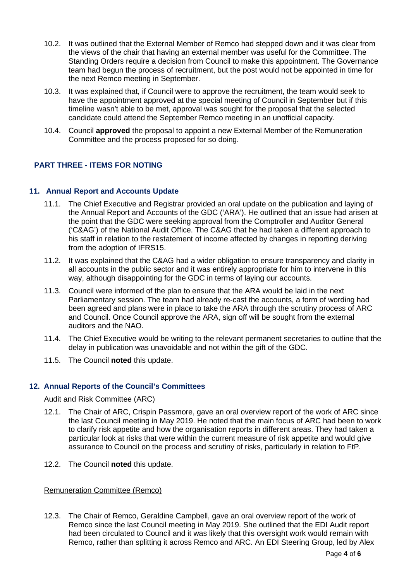- 10.2. It was outlined that the External Member of Remco had stepped down and it was clear from the views of the chair that having an external member was useful for the Committee. The Standing Orders require a decision from Council to make this appointment. The Governance team had begun the process of recruitment, but the post would not be appointed in time for the next Remco meeting in September.
- 10.3. It was explained that, if Council were to approve the recruitment, the team would seek to have the appointment approved at the special meeting of Council in September but if this timeline wasn't able to be met, approval was sought for the proposal that the selected candidate could attend the September Remco meeting in an unofficial capacity.
- 10.4. Council **approved** the proposal to appoint a new External Member of the Remuneration Committee and the process proposed for so doing.

# **PART THREE - ITEMS FOR NOTING**

## **11. Annual Report and Accounts Update**

- 11.1. The Chief Executive and Registrar provided an oral update on the publication and laying of the Annual Report and Accounts of the GDC ('ARA'). He outlined that an issue had arisen at the point that the GDC were seeking approval from the Comptroller and Auditor General ('C&AG') of the National Audit Office. The C&AG that he had taken a different approach to his staff in relation to the restatement of income affected by changes in reporting deriving from the adoption of IFRS15.
- 11.2. It was explained that the C&AG had a wider obligation to ensure transparency and clarity in all accounts in the public sector and it was entirely appropriate for him to intervene in this way, although disappointing for the GDC in terms of laying our accounts.
- 11.3. Council were informed of the plan to ensure that the ARA would be laid in the next Parliamentary session. The team had already re-cast the accounts, a form of wording had been agreed and plans were in place to take the ARA through the scrutiny process of ARC and Council. Once Council approve the ARA, sign off will be sought from the external auditors and the NAO.
- 11.4. The Chief Executive would be writing to the relevant permanent secretaries to outline that the delay in publication was unavoidable and not within the gift of the GDC.
- 11.5. The Council **noted** this update.

# **12. Annual Reports of the Council's Committees**

# Audit and Risk Committee (ARC)

- 12.1. The Chair of ARC, Crispin Passmore, gave an oral overview report of the work of ARC since the last Council meeting in May 2019. He noted that the main focus of ARC had been to work to clarify risk appetite and how the organisation reports in different areas. They had taken a particular look at risks that were within the current measure of risk appetite and would give assurance to Council on the process and scrutiny of risks, particularly in relation to FtP.
- 12.2. The Council **noted** this update.

# Remuneration Committee (Remco)

12.3. The Chair of Remco, Geraldine Campbell, gave an oral overview report of the work of Remco since the last Council meeting in May 2019. She outlined that the EDI Audit report had been circulated to Council and it was likely that this oversight work would remain with Remco, rather than splitting it across Remco and ARC. An EDI Steering Group, led by Alex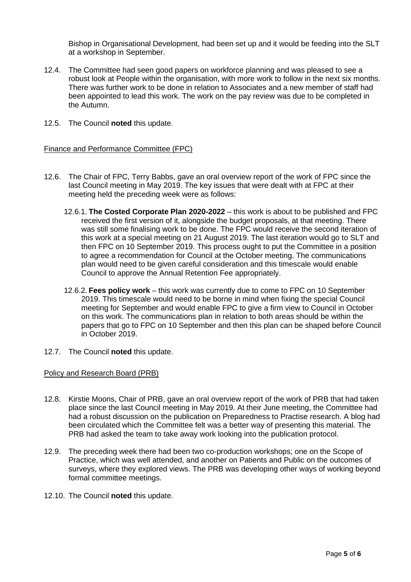Bishop in Organisational Development, had been set up and it would be feeding into the SLT at a workshop in September.

- 12.4. The Committee had seen good papers on workforce planning and was pleased to see a robust look at People within the organisation, with more work to follow in the next six months. There was further work to be done in relation to Associates and a new member of staff had been appointed to lead this work. The work on the pay review was due to be completed in the Autumn.
- 12.5. The Council **noted** this update.

### Finance and Performance Committee (FPC)

- 12.6. The Chair of FPC, Terry Babbs, gave an oral overview report of the work of FPC since the last Council meeting in May 2019. The key issues that were dealt with at FPC at their meeting held the preceding week were as follows:
	- 12.6.1. **The Costed Corporate Plan 2020-2022** this work is about to be published and FPC received the first version of it, alongside the budget proposals, at that meeting. There was still some finalising work to be done. The FPC would receive the second iteration of this work at a special meeting on 21 August 2019. The last iteration would go to SLT and then FPC on 10 September 2019. This process ought to put the Committee in a position to agree a recommendation for Council at the October meeting. The communications plan would need to be given careful consideration and this timescale would enable Council to approve the Annual Retention Fee appropriately.
	- 12.6.2. **Fees policy work** this work was currently due to come to FPC on 10 September 2019. This timescale would need to be borne in mind when fixing the special Council meeting for September and would enable FPC to give a firm view to Council in October on this work. The communications plan in relation to both areas should be within the papers that go to FPC on 10 September and then this plan can be shaped before Council in October 2019.
- 12.7. The Council **noted** this update.

#### Policy and Research Board (PRB)

- 12.8. Kirstie Moons, Chair of PRB, gave an oral overview report of the work of PRB that had taken place since the last Council meeting in May 2019. At their June meeting, the Committee had had a robust discussion on the publication on Preparedness to Practise research. A blog had been circulated which the Committee felt was a better way of presenting this material. The PRB had asked the team to take away work looking into the publication protocol.
- 12.9. The preceding week there had been two co-production workshops; one on the Scope of Practice, which was well attended, and another on Patients and Public on the outcomes of surveys, where they explored views. The PRB was developing other ways of working beyond formal committee meetings.
- 12.10. The Council **noted** this update.